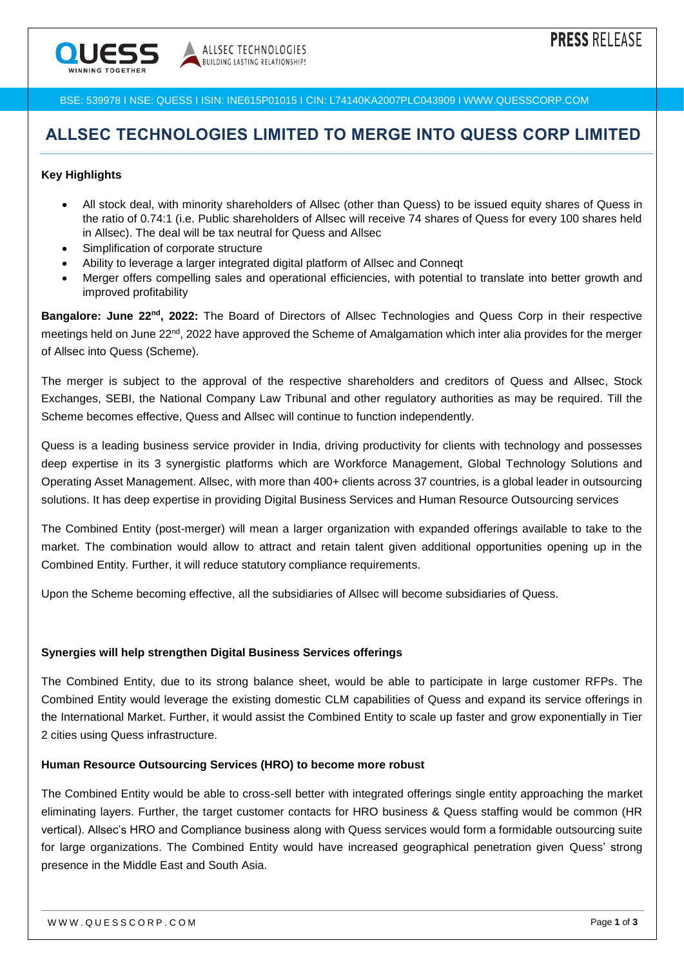

BSE: 539978 I NSE: QUESS I ISIN: INE615P01015 I CIN: L74140KA2007PLC043909 I WWW.QUESSCORP.COM

## **ALLSEC TECHNOLOGIES LIMITED TO MERGE INTO QUESS CORP LIMITED**

#### **Key Highlights**

- All stock deal, with minority shareholders of Allsec (other than Quess) to be issued equity shares of Quess in the ratio of 0.74:1 (i.e. Public shareholders of Allsec will receive 74 shares of Quess for every 100 shares held in Allsec). The deal will be tax neutral for Quess and Allsec
- Simplification of corporate structure
- Ability to leverage a larger integrated digital platform of Allsec and Conneqt
- Merger offers compelling sales and operational efficiencies, with potential to translate into better growth and improved profitability

**Bangalore: June 22nd, 2022:** The Board of Directors of Allsec Technologies and Quess Corp in their respective meetings held on June 22nd, 2022 have approved the Scheme of Amalgamation which inter alia provides for the merger of Allsec into Quess (Scheme).

The merger is subject to the approval of the respective shareholders and creditors of Quess and Allsec, Stock Exchanges, SEBI, the National Company Law Tribunal and other regulatory authorities as may be required. Till the Scheme becomes effective, Quess and Allsec will continue to function independently.

Quess is a leading business service provider in India, driving productivity for clients with technology and possesses deep expertise in its 3 synergistic platforms which are Workforce Management, Global Technology Solutions and Operating Asset Management. Allsec, with more than 400+ clients across 37 countries, is a global leader in outsourcing solutions. It has deep expertise in providing Digital Business Services and Human Resource Outsourcing services

The Combined Entity (post-merger) will mean a larger organization with expanded offerings available to take to the market. The combination would allow to attract and retain talent given additional opportunities opening up in the Combined Entity. Further, it will reduce statutory compliance requirements.

Upon the Scheme becoming effective, all the subsidiaries of Allsec will become subsidiaries of Quess.

#### **Synergies will help strengthen Digital Business Services offerings**

The Combined Entity, due to its strong balance sheet, would be able to participate in large customer RFPs. The Combined Entity would leverage the existing domestic CLM capabilities of Quess and expand its service offerings in the International Market. Further, it would assist the Combined Entity to scale up faster and grow exponentially in Tier 2 cities using Quess infrastructure.

#### **Human Resource Outsourcing Services (HRO) to become more robust**

The Combined Entity would be able to cross-sell better with integrated offerings single entity approaching the market eliminating layers. Further, the target customer contacts for HRO business & Quess staffing would be common (HR vertical). Allsec's HRO and Compliance business along with Quess services would form a formidable outsourcing suite for large organizations. The Combined Entity would have increased geographical penetration given Quess' strong presence in the Middle East and South Asia.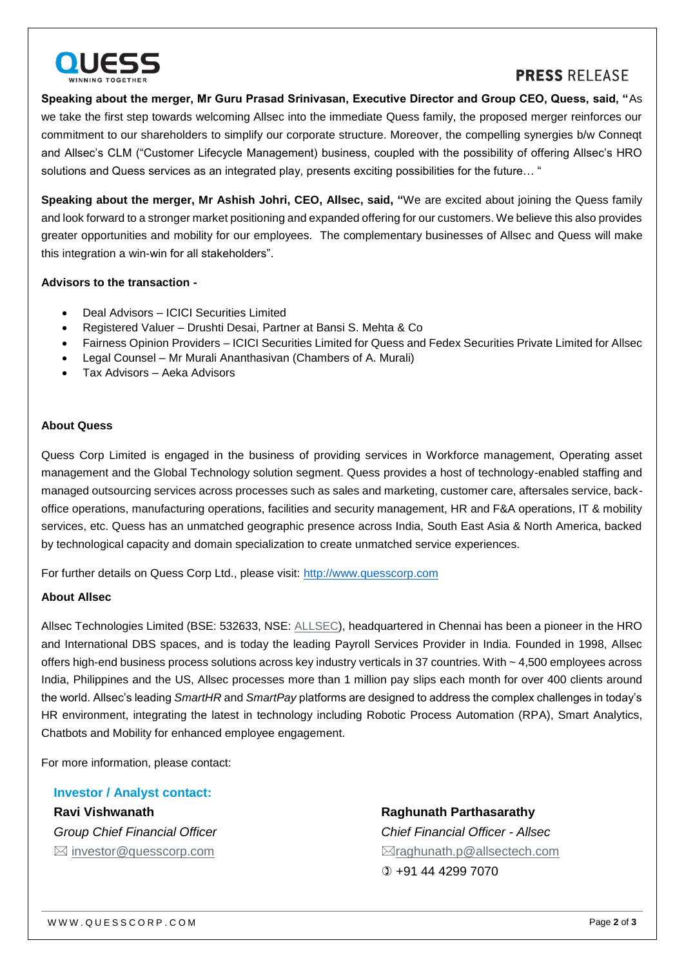

## **PRESS RELEASE**

**Speaking about the merger, Mr Guru Prasad Srinivasan, Executive Director and Group CEO, Quess, said, "**As we take the first step towards welcoming Allsec into the immediate Quess family, the proposed merger reinforces our commitment to our shareholders to simplify our corporate structure. Moreover, the compelling synergies b/w Conneqt and Allsec's CLM ("Customer Lifecycle Management) business, coupled with the possibility of offering Allsec's HRO solutions and Quess services as an integrated play, presents exciting possibilities for the future… "

**Speaking about the merger, Mr Ashish Johri, CEO, Allsec, said, "**We are excited about joining the Quess family and look forward to a stronger market positioning and expanded offering for our customers. We believe this also provides greater opportunities and mobility for our employees. The complementary businesses of Allsec and Quess will make this integration a win-win for all stakeholders".

#### **Advisors to the transaction -**

- Deal Advisors ICICI Securities Limited
- Registered Valuer Drushti Desai, Partner at Bansi S. Mehta & Co
- Fairness Opinion Providers ICICI Securities Limited for Quess and Fedex Securities Private Limited for Allsec
- Legal Counsel Mr Murali Ananthasivan (Chambers of A. Murali)
- Tax Advisors Aeka Advisors

#### **About Quess**

Quess Corp Limited is engaged in the business of providing services in Workforce management, Operating asset management and the Global Technology solution segment. Quess provides a host of technology-enabled staffing and managed outsourcing services across processes such as sales and marketing, customer care, aftersales service, backoffice operations, manufacturing operations, facilities and security management, HR and F&A operations, IT & mobility services, etc. Quess has an unmatched geographic presence across India, South East Asia & North America, backed by technological capacity and domain specialization to create unmatched service experiences.

For further details on Quess Corp Ltd., please visit: [http://www.quesscorp.com](http://www.quesscorp.com/)

#### **About Allsec**

Allsec Technologies Limited (BSE: 532633, NSE: [ALLSEC\)](https://ind01.safelinks.protection.outlook.com/?url=https%3A%2F%2Fwww.allsectech.com%2F&data=05%7C01%7C%7C19ac1de507674a0caab208da534263e4%7C7870c4334d9343379aff75a5d0074084%7C0%7C0%7C637913841852929005%7CUnknown%7CTWFpbGZsb3d8eyJWIjoiMC4wLjAwMDAiLCJQIjoiV2luMzIiLCJBTiI6Ik1haWwiLCJXVCI6Mn0%3D%7C3000%7C%7C%7C&sdata=Y4WLV%2F%2FaRojC6MmOnZ%2FwLAhm2gTO51N%2B3K%2F5pWAQ8iE%3D&reserved=0), headquartered in Chennai has been a pioneer in the HRO and International DBS spaces, and is today the leading Payroll Services Provider in India. Founded in 1998, Allsec offers high-end business process solutions across key industry verticals in 37 countries. With ~ 4,500 employees across India, Philippines and the US, Allsec processes more than 1 million pay slips each month for over 400 clients around the world. Allsec's leading *SmartHR* and *SmartPay* platforms are designed to address the complex challenges in today's HR environment, integrating the latest in technology including Robotic Process Automation (RPA), Smart Analytics, Chatbots and Mobility for enhanced employee engagement.

For more information, please contact:

**Investor / Analyst contact: Ravi Vishwanath** *Group Chief Financial Officer*  $\boxtimes$  [investor@quesscorp.com](mailto:investor@quesscorp.com)

**Raghunath Parthasarathy**

*Chief Financial Officer - Allsec* [raghunath.p@allsectech.com](mailto:raghunath.p@allsectech.com) +91 44 4299 7070